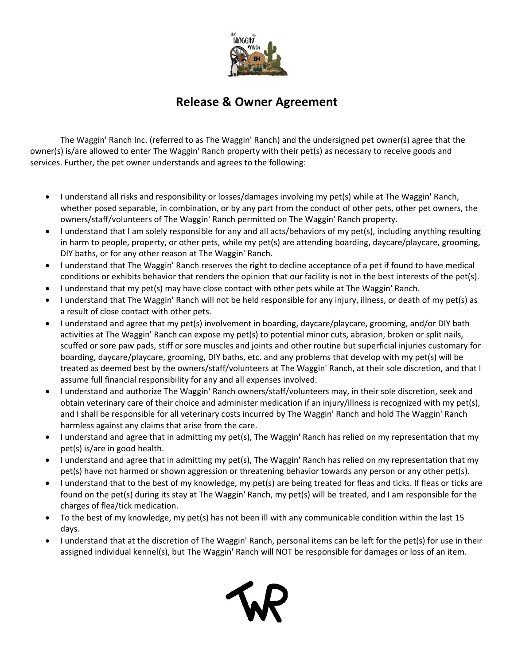

## **Release & Owner Agreement**

The Waggin' Ranch Inc. (referred to as The Waggin' Ranch) and the undersigned pet owner(s) agree that the owner(s) is/are allowed to enter The Waggin' Ranch property with their pet(s) as necessary to receive goods and services. Further, the pet owner understands and agrees to the following:

- I understand all risks and responsibility or losses/damages involving my pet(s) while at The Waggin' Ranch, whether posed separable, in combination, or by any part from the conduct of other pets, other pet owners, the owners/staff/volunteers of The Waggin' Ranch permitted on The Waggin' Ranch property.
- I understand that I am solely responsible for any and all acts/behaviors of my pet(s), including anything resulting in harm to people, property, or other pets, while my pet(s) are attending boarding, daycare/playcare, grooming, DIY baths, or for any other reason at The Waggin' Ranch.
- I understand that The Waggin' Ranch reserves the right to decline acceptance of a pet if found to have medical conditions or exhibits behavior that renders the opinion that our facility is not in the best interests of the pet(s).
- I understand that my pet(s) may have close contact with other pets while at The Waggin' Ranch.
- I understand that The Waggin' Ranch will not be held responsible for any injury, illness, or death of my pet(s) as a result of close contact with other pets.
- I understand and agree that my pet(s) involvement in boarding, daycare/playcare, grooming, and/or DIY bath activities at The Waggin' Ranch can expose my pet(s) to potential minor cuts, abrasion, broken or split nails, scuffed or sore paw pads, stiff or sore muscles and joints and other routine but superficial injuries customary for boarding, daycare/playcare, grooming, DIY baths, etc. and any problems that develop with my pet(s) will be treated as deemed best by the owners/staff/volunteers at The Waggin' Ranch, at their sole discretion, and that I assume full financial responsibility for any and all expenses involved.
- I understand and authorize The Waggin' Ranch owners/staff/volunteers may, in their sole discretion, seek and obtain veterinary care of their choice and administer medication if an injury/illness is recognized with my pet(s), and I shall be responsible for all veterinary costs incurred by The Waggin' Ranch and hold The Waggin' Ranch harmless against any claims that arise from the care.
- I understand and agree that in admitting my pet(s), The Waggin' Ranch has relied on my representation that my pet(s) is/are in good health.
- I understand and agree that in admitting my pet(s), The Waggin' Ranch has relied on my representation that my pet(s) have not harmed or shown aggression or threatening behavior towards any person or any other pet(s).
- I understand that to the best of my knowledge, my pet(s) are being treated for fleas and ticks. If fleas or ticks are found on the pet(s) during its stay at The Waggin' Ranch, my pet(s) will be treated, and I am responsible for the charges of flea/tick medication.
- To the best of my knowledge, my pet(s) has not been ill with any communicable condition within the last 15 days.
- I understand that at the discretion of The Waggin' Ranch, personal items can be left for the pet(s) for use in their assigned individual kennel(s), but The Waggin' Ranch will NOT be responsible for damages or loss of an item.

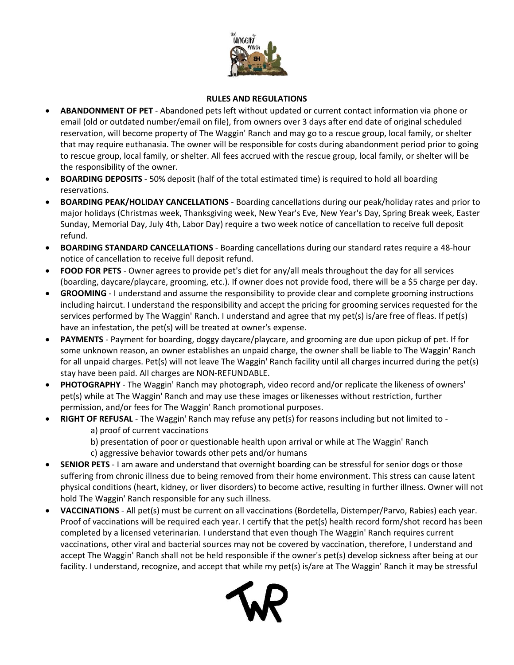

## **RULES AND REGULATIONS**

- **ABANDONMENT OF PET** Abandoned pets left without updated or current contact information via phone or email (old or outdated number/email on file), from owners over 3 days after end date of original scheduled reservation, will become property of The Waggin' Ranch and may go to a rescue group, local family, or shelter that may require euthanasia. The owner will be responsible for costs during abandonment period prior to going to rescue group, local family, or shelter. All fees accrued with the rescue group, local family, or shelter will be the responsibility of the owner.
- **BOARDING DEPOSITS** 50% deposit (half of the total estimated time) is required to hold all boarding reservations.
- **BOARDING PEAK/HOLIDAY CANCELLATIONS** Boarding cancellations during our peak/holiday rates and prior to major holidays (Christmas week, Thanksgiving week, New Year's Eve, New Year's Day, Spring Break week, Easter Sunday, Memorial Day, July 4th, Labor Day) require a two week notice of cancellation to receive full deposit refund.
- **BOARDING STANDARD CANCELLATIONS** Boarding cancellations during our standard rates require a 48-hour notice of cancellation to receive full deposit refund.
- **FOOD FOR PETS** Owner agrees to provide pet's diet for any/all meals throughout the day for all services (boarding, daycare/playcare, grooming, etc.). If owner does not provide food, there will be a \$5 charge per day.
- **GROOMING** I understand and assume the responsibility to provide clear and complete grooming instructions including haircut. I understand the responsibility and accept the pricing for grooming services requested for the services performed by The Waggin' Ranch. I understand and agree that my pet(s) is/are free of fleas. If pet(s) have an infestation, the pet(s) will be treated at owner's expense.
- **PAYMENTS**  Payment for boarding, doggy daycare/playcare, and grooming are due upon pickup of pet. If for some unknown reason, an owner establishes an unpaid charge, the owner shall be liable to The Waggin' Ranch for all unpaid charges. Pet(s) will not leave The Waggin' Ranch facility until all charges incurred during the pet(s) stay have been paid. All charges are NON-REFUNDABLE.
- **PHOTOGRAPHY** The Waggin' Ranch may photograph, video record and/or replicate the likeness of owners' pet(s) while at The Waggin' Ranch and may use these images or likenesses without restriction, further permission, and/or fees for The Waggin' Ranch promotional purposes.
- **RIGHT OF REFUSAL** The Waggin' Ranch may refuse any pet(s) for reasons including but not limited to
	- a) proof of current vaccinations
	- b) presentation of poor or questionable health upon arrival or while at The Waggin' Ranch
	- c) aggressive behavior towards other pets and/or humans
- **SENIOR PETS** I am aware and understand that overnight boarding can be stressful for senior dogs or those suffering from chronic illness due to being removed from their home environment. This stress can cause latent physical conditions (heart, kidney, or liver disorders) to become active, resulting in further illness. Owner will not hold The Waggin' Ranch responsible for any such illness.
- **VACCINATIONS**  All pet(s) must be current on all vaccinations (Bordetella, Distemper/Parvo, Rabies) each year. Proof of vaccinations will be required each year. I certify that the pet(s) health record form/shot record has been completed by a licensed veterinarian. I understand that even though The Waggin' Ranch requires current vaccinations, other viral and bacterial sources may not be covered by vaccination, therefore, I understand and accept The Waggin' Ranch shall not be held responsible if the owner's pet(s) develop sickness after being at our facility. I understand, recognize, and accept that while my pet(s) is/are at The Waggin' Ranch it may be stressful